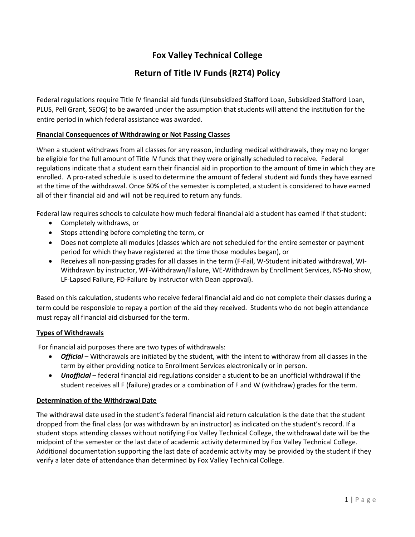# **Fox Valley Technical College**

# **Return of Title IV Funds (R2T4) Policy**

Federal regulations require Title IV financial aid funds (Unsubsidized Stafford Loan, Subsidized Stafford Loan, PLUS, Pell Grant, SEOG) to be awarded under the assumption that students will attend the institution for the entire period in which federal assistance was awarded.

## **Financial Consequences of Withdrawing or Not Passing Classes**

When a student withdraws from all classes for any reason, including medical withdrawals, they may no longer be eligible for the full amount of Title IV funds that they were originally scheduled to receive. Federal regulations indicate that a student earn their financial aid in proportion to the amount of time in which they are enrolled. A pro-rated schedule is used to determine the amount of federal student aid funds they have earned at the time of the withdrawal. Once 60% of the semester is completed, a student is considered to have earned all of their financial aid and will not be required to return any funds.

Federal law requires schools to calculate how much federal financial aid a student has earned if that student:

- Completely withdraws, or
- Stops attending before completing the term, or
- Does not complete all modules (classes which are not scheduled for the entire semester or payment period for which they have registered at the time those modules began), or
- Receives all non-passing grades for all classes in the term (F-Fail, W-Student initiated withdrawal, WI-Withdrawn by instructor, WF-Withdrawn/Failure, WE-Withdrawn by Enrollment Services, NS-No show, LF-Lapsed Failure, FD-Failure by instructor with Dean approval).

Based on this calculation, students who receive federal financial aid and do not complete their classes during a term could be responsible to repay a portion of the aid they received. Students who do not begin attendance must repay all financial aid disbursed for the term.

# **Types of Withdrawals**

For financial aid purposes there are two types of withdrawals:

- *Official* Withdrawals are initiated by the student, with the intent to withdraw from all classes in the term by either providing notice to Enrollment Services electronically or in person.
- *Unofficial*  federal financial aid regulations consider a student to be an unofficial withdrawal if the student receives all F (failure) grades or a combination of F and W (withdraw) grades for the term.

## **Determination of the Withdrawal Date**

The withdrawal date used in the student's federal financial aid return calculation is the date that the student dropped from the final class (or was withdrawn by an instructor) as indicated on the student's record. If a student stops attending classes without notifying Fox Valley Technical College, the withdrawal date will be the midpoint of the semester or the last date of academic activity determined by Fox Valley Technical College. Additional documentation supporting the last date of academic activity may be provided by the student if they verify a later date of attendance than determined by Fox Valley Technical College.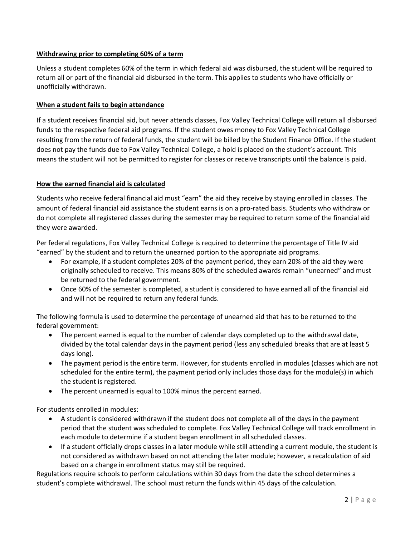# **Withdrawing prior to completing 60% of a term**

Unless a student completes 60% of the term in which federal aid was disbursed, the student will be required to return all or part of the financial aid disbursed in the term. This applies to students who have officially or unofficially withdrawn.

## **When a student fails to begin attendance**

If a student receives financial aid, but never attends classes, Fox Valley Technical College will return all disbursed funds to the respective federal aid programs. If the student owes money to Fox Valley Technical College resulting from the return of federal funds, the student will be billed by the Student Finance Office. If the student does not pay the funds due to Fox Valley Technical College, a hold is placed on the student's account. This means the student will not be permitted to register for classes or receive transcripts until the balance is paid.

## **How the earned financial aid is calculated**

Students who receive federal financial aid must "earn" the aid they receive by staying enrolled in classes. The amount of federal financial aid assistance the student earns is on a pro-rated basis. Students who withdraw or do not complete all registered classes during the semester may be required to return some of the financial aid they were awarded.

Per federal regulations, Fox Valley Technical College is required to determine the percentage of Title IV aid "earned" by the student and to return the unearned portion to the appropriate aid programs.

- For example, if a student completes 20% of the payment period, they earn 20% of the aid they were originally scheduled to receive. This means 80% of the scheduled awards remain "unearned" and must be returned to the federal government.
- Once 60% of the semester is completed, a student is considered to have earned all of the financial aid and will not be required to return any federal funds.

The following formula is used to determine the percentage of unearned aid that has to be returned to the federal government:

- The percent earned is equal to the number of calendar days completed up to the withdrawal date, divided by the total calendar days in the payment period (less any scheduled breaks that are at least 5 days long).
- The payment period is the entire term. However, for students enrolled in modules (classes which are not scheduled for the entire term), the payment period only includes those days for the module(s) in which the student is registered.
- The percent unearned is equal to 100% minus the percent earned.

For students enrolled in modules:

- A student is considered withdrawn if the student does not complete all of the days in the payment period that the student was scheduled to complete. Fox Valley Technical College will track enrollment in each module to determine if a student began enrollment in all scheduled classes.
- If a student officially drops classes in a later module while still attending a current module, the student is not considered as withdrawn based on not attending the later module; however, a recalculation of aid based on a change in enrollment status may still be required.

Regulations require schools to perform calculations within 30 days from the date the school determines a student's complete withdrawal. The school must return the funds within 45 days of the calculation.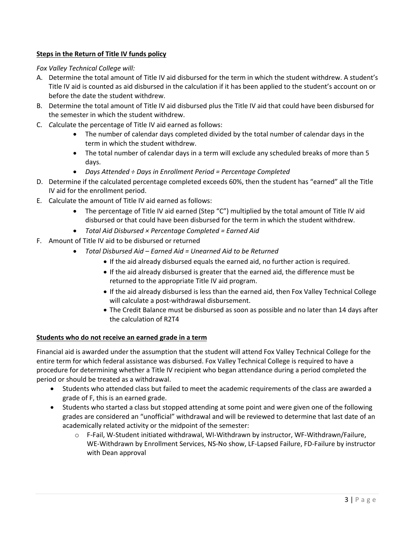# **Steps in the Return of Title IV funds policy**

# *Fox Valley Technical College will:*

- A. Determine the total amount of Title IV aid disbursed for the term in which the student withdrew. A student's Title IV aid is counted as aid disbursed in the calculation if it has been applied to the student's account on or before the date the student withdrew.
- B. Determine the total amount of Title IV aid disbursed plus the Title IV aid that could have been disbursed for the semester in which the student withdrew.
- C. *C*alculate the percentage of Title IV aid earned as follows:
	- The number of calendar days completed divided by the total number of calendar days in the term in which the student withdrew.
	- The total number of calendar days in a term will exclude any scheduled breaks of more than 5 days.
	- *Days Attended ÷ Days in Enrollment Period = Percentage Completed*
- D. Determine if the calculated percentage completed exceeds 60%, then the student has "earned" all the Title IV aid for the enrollment period.
- E. Calculate the amount of Title IV aid earned as follows:
	- The percentage of Title IV aid earned (Step "C") multiplied by the total amount of Title IV aid disbursed or that could have been disbursed for the term in which the student withdrew.
	- *Total Aid Disbursed × Percentage Completed = Earned Aid*
- F. Amount of Title IV aid to be disbursed or returned
	- *Total Disbursed Aid – Earned Aid = Unearned Aid to be Returned* 
		- If the aid already disbursed equals the earned aid, no further action is required.
		- If the aid already disbursed is greater that the earned aid, the difference must be returned to the appropriate Title IV aid program.
		- If the aid already disbursed is less than the earned aid, then Fox Valley Technical College will calculate a post-withdrawal disbursement.
		- The Credit Balance must be disbursed as soon as possible and no later than 14 days after the calculation of R2T4

## **Students who do not receive an earned grade in a term**

Financial aid is awarded under the assumption that the student will attend Fox Valley Technical College for the entire term for which federal assistance was disbursed. Fox Valley Technical College is required to have a procedure for determining whether a Title IV recipient who began attendance during a period completed the period or should be treated as a withdrawal.

- Students who attended class but failed to meet the academic requirements of the class are awarded a grade of F, this is an earned grade.
- Students who started a class but stopped attending at some point and were given one of the following grades are considered an "unofficial" withdrawal and will be reviewed to determine that last date of an academically related activity or the midpoint of the semester:
	- o F-Fail, W-Student initiated withdrawal, WI-Withdrawn by instructor, WF-Withdrawn/Failure, WE-Withdrawn by Enrollment Services, NS-No show, LF-Lapsed Failure, FD-Failure by instructor with Dean approval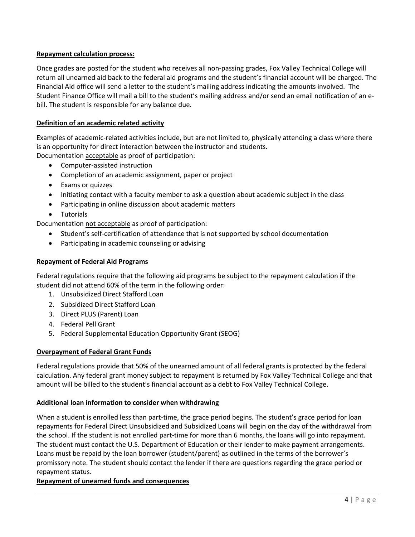# **Repayment calculation process:**

Once grades are posted for the student who receives all non-passing grades, Fox Valley Technical College will return all unearned aid back to the federal aid programs and the student's financial account will be charged. The Financial Aid office will send a letter to the student's mailing address indicating the amounts involved. The Student Finance Office will mail a bill to the student's mailing address and/or send an email notification of an ebill. The student is responsible for any balance due.

## **Definition of an academic related activity**

Examples of academic-related activities include, but are not limited to, physically attending a class where there is an opportunity for direct interaction between the instructor and students.

Documentation acceptable as proof of participation:

- Computer-assisted instruction
- Completion of an academic assignment, paper or project
- Exams or quizzes
- Initiating contact with a faculty member to ask a question about academic subject in the class
- Participating in online discussion about academic matters
- Tutorials

Documentation not acceptable as proof of participation:

- Student's self-certification of attendance that is not supported by school documentation
- Participating in academic counseling or advising

## **Repayment of Federal Aid Programs**

Federal regulations require that the following aid programs be subject to the repayment calculation if the student did not attend 60% of the term in the following order:

- 1. Unsubsidized Direct Stafford Loan
- 2. Subsidized Direct Stafford Loan
- 3. Direct PLUS (Parent) Loan
- 4. Federal Pell Grant
- 5. Federal Supplemental Education Opportunity Grant (SEOG)

## **Overpayment of Federal Grant Funds**

Federal regulations provide that 50% of the unearned amount of all federal grants is protected by the federal calculation. Any federal grant money subject to repayment is returned by Fox Valley Technical College and that amount will be billed to the student's financial account as a debt to Fox Valley Technical College.

## **Additional loan information to consider when withdrawing**

When a student is enrolled less than part-time, the grace period begins. The student's grace period for loan repayments for Federal Direct Unsubsidized and Subsidized Loans will begin on the day of the withdrawal from the school. If the student is not enrolled part-time for more than 6 months, the loans will go into repayment. The student must contact the U.S. Department of Education or their lender to make payment arrangements. Loans must be repaid by the loan borrower (student/parent) as outlined in the terms of the borrower's promissory note. The student should contact the lender if there are questions regarding the grace period or repayment status.

## **Repayment of unearned funds and consequences**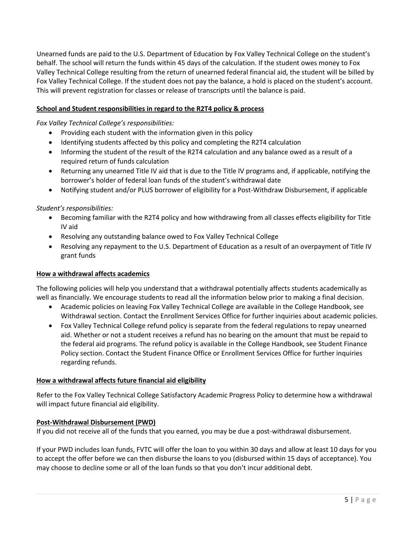Unearned funds are paid to the U.S. Department of Education by Fox Valley Technical College on the student's behalf. The school will return the funds within 45 days of the calculation. If the student owes money to Fox Valley Technical College resulting from the return of unearned federal financial aid, the student will be billed by Fox Valley Technical College. If the student does not pay the balance, a hold is placed on the student's account. This will prevent registration for classes or release of transcripts until the balance is paid.

## **School and Student responsibilities in regard to the R2T4 policy & process**

## *Fox Valley Technical College's responsibilities:*

- Providing each student with the information given in this policy
- Identifying students affected by this policy and completing the R2T4 calculation
- Informing the student of the result of the R2T4 calculation and any balance owed as a result of a required return of funds calculation
- Returning any unearned Title IV aid that is due to the Title IV programs and, if applicable, notifying the borrower's holder of federal loan funds of the student's withdrawal date
- Notifying student and/or PLUS borrower of eligibility for a Post-Withdraw Disbursement, if applicable

## *Student's responsibilities:*

- Becoming familiar with the R2T4 policy and how withdrawing from all classes effects eligibility for Title IV aid
- Resolving any outstanding balance owed to Fox Valley Technical College
- Resolving any repayment to the U.S. Department of Education as a result of an overpayment of Title IV grant funds

## **How a withdrawal affects academics**

The following policies will help you understand that a withdrawal potentially affects students academically as well as financially. We encourage students to read all the information below prior to making a final decision.

- Academic policies on leaving Fox Valley Technical College are available in the College Handbook, see Withdrawal section. Contact the Enrollment Services Office for further inquiries about academic policies.
- Fox Valley Technical College refund policy is separate from the federal regulations to repay unearned aid. Whether or not a student receives a refund has no bearing on the amount that must be repaid to the federal aid programs. The refund policy is available in the College Handbook, see Student Finance Policy section. Contact the Student Finance Office or Enrollment Services Office for further inquiries regarding refunds.

## **How a withdrawal affects future financial aid eligibility**

Refer to the Fox Valley Technical College Satisfactory Academic Progress Policy to determine how a withdrawal will impact future financial aid eligibility.

## **Post-Withdrawal Disbursement (PWD)**

If you did not receive all of the funds that you earned, you may be due a post-withdrawal disbursement.

If your PWD includes loan funds, FVTC will offer the loan to you within 30 days and allow at least 10 days for you to accept the offer before we can then disburse the loans to you (disbursed within 15 days of acceptance). You may choose to decline some or all of the loan funds so that you don't incur additional debt.